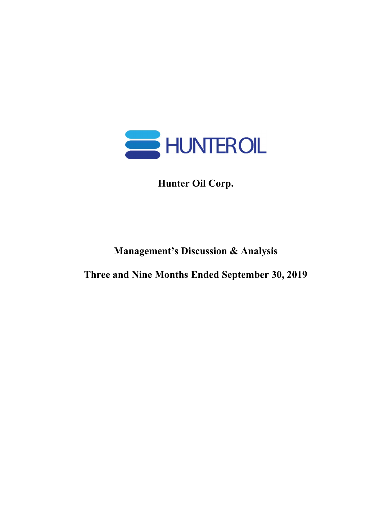

Hunter Oil Corp.

# Management's Discussion & Analysis

Three and Nine Months Ended September 30, 2019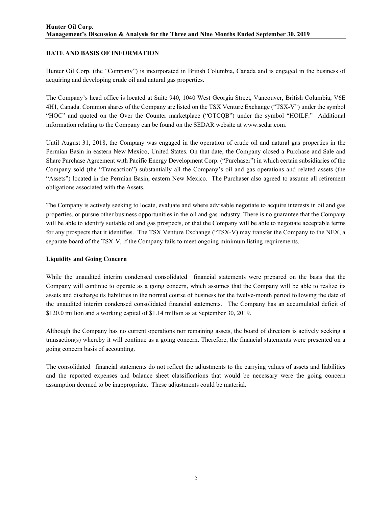## DATE AND BASIS OF INFORMATION

Hunter Oil Corp. (the "Company") is incorporated in British Columbia, Canada and is engaged in the business of acquiring and developing crude oil and natural gas properties.

The Company's head office is located at Suite 940, 1040 West Georgia Street, Vancouver, British Columbia, V6E 4H1, Canada. Common shares of the Company are listed on the TSX Venture Exchange ("TSX-V") under the symbol "HOC" and quoted on the Over the Counter marketplace ("OTCQB") under the symbol "HOILF." Additional information relating to the Company can be found on the SEDAR website at www.sedar.com.

Until August 31, 2018, the Company was engaged in the operation of crude oil and natural gas properties in the Permian Basin in eastern New Mexico, United States. On that date, the Company closed a Purchase and Sale and Share Purchase Agreement with Pacific Energy Development Corp. ("Purchaser") in which certain subsidiaries of the Company sold (the "Transaction") substantially all the Company's oil and gas operations and related assets (the "Assets") located in the Permian Basin, eastern New Mexico. The Purchaser also agreed to assume all retirement obligations associated with the Assets.

The Company is actively seeking to locate, evaluate and where advisable negotiate to acquire interests in oil and gas properties, or pursue other business opportunities in the oil and gas industry. There is no guarantee that the Company will be able to identify suitable oil and gas prospects, or that the Company will be able to negotiate acceptable terms for any prospects that it identifies. The TSX Venture Exchange ("TSX-V) may transfer the Company to the NEX, a separate board of the TSX-V, if the Company fails to meet ongoing minimum listing requirements.

#### Liquidity and Going Concern

While the unaudited interim condensed consolidated financial statements were prepared on the basis that the Company will continue to operate as a going concern, which assumes that the Company will be able to realize its assets and discharge its liabilities in the normal course of business for the twelve-month period following the date of the unaudited interim condensed consolidated financial statements. The Company has an accumulated deficit of \$120.0 million and a working capital of \$1.14 million as at September 30, 2019.

Although the Company has no current operations nor remaining assets, the board of directors is actively seeking a transaction(s) whereby it will continue as a going concern. Therefore, the financial statements were presented on a going concern basis of accounting.

The consolidated financial statements do not reflect the adjustments to the carrying values of assets and liabilities and the reported expenses and balance sheet classifications that would be necessary were the going concern assumption deemed to be inappropriate. These adjustments could be material.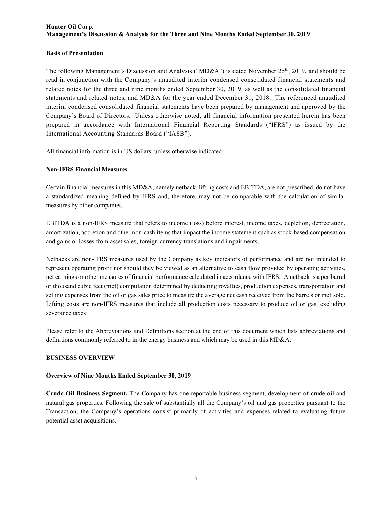## Basis of Presentation

The following Management's Discussion and Analysis ("MD&A") is dated November 25th, 2019, and should be read in conjunction with the Company's unaudited interim condensed consolidated financial statements and related notes for the three and nine months ended September 30, 2019, as well as the consolidated financial statements and related notes, and MD&A for the year ended December 31, 2018. The referenced unaudited interim condensed consolidated financial statements have been prepared by management and approved by the Company's Board of Directors. Unless otherwise noted, all financial information presented herein has been prepared in accordance with International Financial Reporting Standards ("IFRS") as issued by the International Accounting Standards Board ("IASB").

All financial information is in US dollars, unless otherwise indicated.

## Non-IFRS Financial Measures

Certain financial measures in this MD&A, namely netback, lifting costs and EBITDA, are not prescribed, do not have a standardized meaning defined by IFRS and, therefore, may not be comparable with the calculation of similar measures by other companies.

EBITDA is a non-IFRS measure that refers to income (loss) before interest, income taxes, depletion, depreciation, amortization, accretion and other non-cash items that impact the income statement such as stock-based compensation and gains or losses from asset sales, foreign currency translations and impairments.

Netbacks are non-IFRS measures used by the Company as key indicators of performance and are not intended to represent operating profit nor should they be viewed as an alternative to cash flow provided by operating activities, net earnings or other measures of financial performance calculated in accordance with IFRS. A netback is a per barrel or thousand cubic feet (mcf) computation determined by deducting royalties, production expenses, transportation and selling expenses from the oil or gas sales price to measure the average net cash received from the barrels or mcf sold. Lifting costs are non-IFRS measures that include all production costs necessary to produce oil or gas, excluding severance taxes.

Please refer to the Abbreviations and Definitions section at the end of this document which lists abbreviations and definitions commonly referred to in the energy business and which may be used in this MD&A.

#### BUSINESS OVERVIEW

#### Overview of Nine Months Ended September 30, 2019

Crude Oil Business Segment. The Company has one reportable business segment, development of crude oil and natural gas properties. Following the sale of substantially all the Company's oil and gas properties pursuant to the Transaction, the Company's operations consist primarily of activities and expenses related to evaluating future potential asset acquisitions.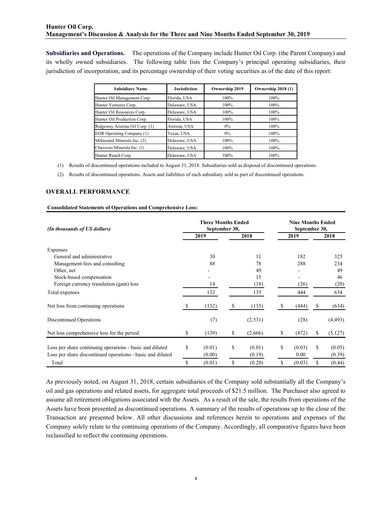Subsidiaries and Operations. The operations of the Company include Hunter Oil Corp. (the Parent Company) and its wholly owned subsidiaries. The following table lists the Company's principal operating subsidiaries, their jurisdiction of incorporation, and its percentage ownership of their voting securities as of the date of this report:

| Discussion & Analysis for the Three and Nine Months Ended September 30, 2019                                                 |                                |                |                                                                                 |                                                                                 |
|------------------------------------------------------------------------------------------------------------------------------|--------------------------------|----------------|---------------------------------------------------------------------------------|---------------------------------------------------------------------------------|
|                                                                                                                              |                                |                |                                                                                 |                                                                                 |
|                                                                                                                              |                                |                |                                                                                 |                                                                                 |
| Operations.                                                                                                                  |                                |                | The operations of the Company include Hunter Oil Corp. (the Parent Company) and |                                                                                 |
|                                                                                                                              |                                |                |                                                                                 |                                                                                 |
|                                                                                                                              |                                |                |                                                                                 |                                                                                 |
| d subsidiaries.                                                                                                              |                                |                |                                                                                 | The following table lists the Company's principal operating subsidiaries, their |
|                                                                                                                              |                                |                |                                                                                 |                                                                                 |
|                                                                                                                              |                                |                |                                                                                 |                                                                                 |
| orporation, and its percentage ownership of their voting securities as of the date of this report:<br><b>Subsidiary Name</b> | <b>Jurisdiction</b>            | Ownership 2019 | Ownership 2018 (1)                                                              |                                                                                 |
|                                                                                                                              |                                |                |                                                                                 |                                                                                 |
| Hunter Oil Management Corp.                                                                                                  | Florida, USA                   | 100%           | 100%                                                                            |                                                                                 |
| Hunter Ventures Corp.                                                                                                        | Delaware, USA                  | 100%           | 100%                                                                            |                                                                                 |
| Hunter Oil Resources Corp.                                                                                                   | Delaware, USA                  | 100%           | 100%                                                                            |                                                                                 |
| Hunter Oil Production Corp.                                                                                                  | Florida, USA                   | 100%           | 100%                                                                            |                                                                                 |
| Ridgeway Arizona Oil Corp. (1)                                                                                               | Arizona, USA                   | $0\%$          | 100%                                                                            |                                                                                 |
| EOR Operating Company (1)                                                                                                    | Texas, USA                     | $0\%$          | 100%                                                                            |                                                                                 |
| Milnesand Minerals Inc. (2)                                                                                                  | Delaware, USA                  | 100%           | 100%                                                                            |                                                                                 |
| Chaveroo Minerals Inc. (2)<br>Hunter Ranch Corp.                                                                             | Delaware, USA<br>Delaware, USA | 100%<br>100%   | 100%<br>100%                                                                    |                                                                                 |

## OVERALL PERFORMANCE

#### Consolidated Statements of Operations and Comprehensive Loss:

|                                                                                                                                                                                                                                                           |                                                                                                                                                                                                                                                     | Arizona, USA  |                                                | $0\%$         |                                                                     | 100%     |                                                     |          |                                                                       |  |
|-----------------------------------------------------------------------------------------------------------------------------------------------------------------------------------------------------------------------------------------------------------|-----------------------------------------------------------------------------------------------------------------------------------------------------------------------------------------------------------------------------------------------------|---------------|------------------------------------------------|---------------|---------------------------------------------------------------------|----------|-----------------------------------------------------|----------|-----------------------------------------------------------------------|--|
|                                                                                                                                                                                                                                                           | EOR Operating Company (1)                                                                                                                                                                                                                           | Texas, USA    |                                                | $0\%$         |                                                                     | 100%     |                                                     |          |                                                                       |  |
|                                                                                                                                                                                                                                                           | Milnesand Minerals Inc. (2)                                                                                                                                                                                                                         | Delaware, USA |                                                | 100%          |                                                                     | 100%     |                                                     |          |                                                                       |  |
|                                                                                                                                                                                                                                                           | Chaveroo Minerals Inc. (2)                                                                                                                                                                                                                          | Delaware, USA |                                                | 100%          |                                                                     | $100\%$  |                                                     |          |                                                                       |  |
| Hunter Ranch Corp.                                                                                                                                                                                                                                        |                                                                                                                                                                                                                                                     | Delaware, USA |                                                | 100%          |                                                                     | 100%     |                                                     |          |                                                                       |  |
| (1)<br>(2)<br><b>OVERALL PERFORMANCE</b>                                                                                                                                                                                                                  | Results of discontinued operations included to August 31, 2018. Subsidiaries sold as disposal of discontinued operations.<br>Results of discontinued operations. Assets and liabilities of each subsidiary sold as part of discontinued operations. |               |                                                |               |                                                                     |          |                                                     |          |                                                                       |  |
| <b>Consolidated Statements of Operations and Comprehensive Loss:</b>                                                                                                                                                                                      |                                                                                                                                                                                                                                                     |               | <b>Three Months Ended</b>                      |               |                                                                     |          | <b>Nine Months Ended</b>                            |          |                                                                       |  |
| (In thousands of US dollars)                                                                                                                                                                                                                              |                                                                                                                                                                                                                                                     |               |                                                | September 30, |                                                                     |          | September 30,                                       |          |                                                                       |  |
|                                                                                                                                                                                                                                                           |                                                                                                                                                                                                                                                     |               | 2019                                           |               | 2018                                                                |          | 2019                                                |          | 2018                                                                  |  |
| Expenses<br>General and administrative<br>Management fees and consulting<br>Other, net<br>Stock-based compensation<br>Foreign currency translation (gain) loss<br>Total expenses<br>Net loss from continuing operations<br><b>Discontinued Operations</b> |                                                                                                                                                                                                                                                     | S<br>\$       | 30<br>88<br>14<br>132<br>(132)<br>(7)<br>(139) | S<br>\$       | 11<br>78<br>49<br>15<br>(18)<br>135<br>(135)<br>(2, 531)<br>(2,666) | \$<br>\$ | 182<br>288<br>(26)<br>444<br>(444)<br>(28)<br>(472) | \$<br>\$ | 325<br>234<br>49<br>46<br>(20)<br>634<br>(634)<br>(4, 493)<br>(5,127) |  |
| Net loss comprehensive loss for the period                                                                                                                                                                                                                |                                                                                                                                                                                                                                                     |               |                                                | \$            | (0.01)                                                              | \$       | (0.03)                                              | \$       | (0.05)                                                                |  |

As previously noted, on August 31, 2018, certain subsidiaries of the Company sold substantially all the Company's oil and gas operations and related assets, for aggregate total proceeds of \$21.5 million. The Purchaser also agreed to assume all retirement obligations associated with the Assets. As a result of the sale, the results from operations of the Assets have been presented as discontinued operations. A summary of the results of operations up to the close of the Transaction are presented below. All other discussions and references herein to operations and expenses of the Company solely relate to the continuing operations of the Company. Accordingly, all comparative figures have been reclassified to reflect the continuing operations.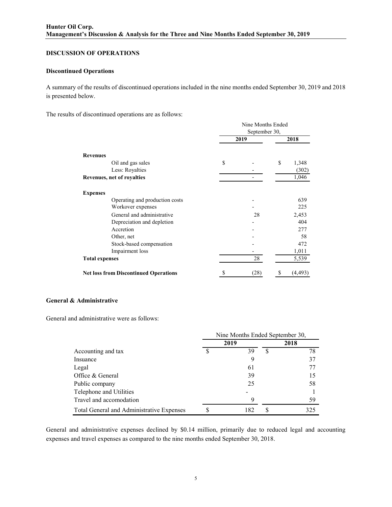## DISCUSSION OF OPERATIONS

#### Discontinued Operations

A summary of the results of discontinued operations included in the nine months ended September 30, 2019 and 2018 is presented below.

The results of discontinued operations are as follows:

|                       |                                              | Nine Months Ended<br>September 30, |    |          |  |  |  |  |
|-----------------------|----------------------------------------------|------------------------------------|----|----------|--|--|--|--|
|                       |                                              | 2019                               |    |          |  |  |  |  |
| <b>Revenues</b>       |                                              |                                    |    |          |  |  |  |  |
|                       | Oil and gas sales                            | \$                                 | \$ | 1,348    |  |  |  |  |
|                       | Less: Royalties                              |                                    |    | (302)    |  |  |  |  |
|                       | Revenues, net of royalties                   |                                    |    | 1,046    |  |  |  |  |
| <b>Expenses</b>       |                                              |                                    |    |          |  |  |  |  |
|                       | Operating and production costs               |                                    |    | 639      |  |  |  |  |
|                       | Workover expenses                            |                                    |    | 225      |  |  |  |  |
|                       | General and administrative                   | 28                                 |    | 2,453    |  |  |  |  |
|                       | Depreciation and depletion                   |                                    |    | 404      |  |  |  |  |
|                       | Accretion                                    |                                    |    | 277      |  |  |  |  |
|                       | Other, net                                   |                                    |    | 58       |  |  |  |  |
|                       | Stock-based compensation                     |                                    |    | 472      |  |  |  |  |
|                       | Impairment loss                              |                                    |    | 1,011    |  |  |  |  |
| <b>Total expenses</b> |                                              | 28                                 |    | 5,539    |  |  |  |  |
|                       | <b>Net loss from Discontinued Operations</b> | (28)                               |    | (4, 493) |  |  |  |  |

## General & Administrative

General and administrative were as follows:

| Stock-based compensation<br>Impairment loss  |    |                                 |     | 4/2<br>1,011 |
|----------------------------------------------|----|---------------------------------|-----|--------------|
| <b>Total expenses</b>                        |    | 28                              |     | 5,539        |
| <b>Net loss from Discontinued Operations</b> | S. | (28)                            | \$. | (4, 493)     |
| <b>Administrative</b>                        |    |                                 |     |              |
| d administrative were as follows:            |    |                                 |     |              |
|                                              |    | Nine Months Ended September 30, |     |              |
|                                              |    | 2019                            |     | 2018         |
| Accounting and tax                           | \$ | 39                              | \$  | 78           |
| Insuance                                     |    | 9                               |     | 37           |
| Legal                                        |    | 61                              |     | 77           |
| Office & General                             |    | 39                              |     | 15           |
| Public company                               |    | 25                              |     | 58           |
| Telephone and Utilities                      |    |                                 |     |              |
| Travel and accomodation                      |    | 9                               |     | 59           |
| Total General and Administrative Expenses    | \$ | 182                             | \$  | 325          |

General and administrative expenses declined by \$0.14 million, primarily due to reduced legal and accounting expenses and travel expenses as compared to the nine months ended September 30, 2018.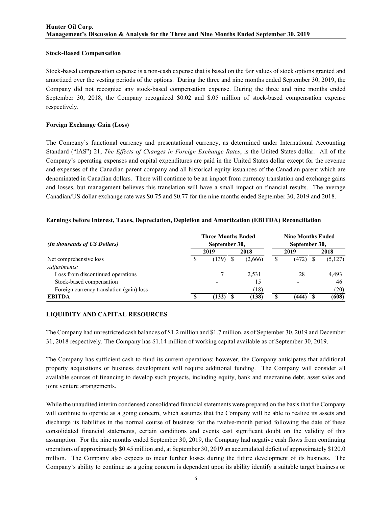#### Stock-Based Compensation

Stock-based compensation expense is a non-cash expense that is based on the fair values of stock options granted and amortized over the vesting periods of the options. During the three and nine months ended September 30, 2019, the Company did not recognize any stock-based compensation expense. During the three and nine months ended September 30, 2018, the Company recognized \$0.02 and \$.05 million of stock-based compensation expense respectively.

## Foreign Exchange Gain (Loss)

The Company's functional currency and presentational currency, as determined under International Accounting Standard ("IAS") 21, The Effects of Changes in Foreign Exchange Rates, is the United States dollar. All of the Company's operating expenses and capital expenditures are paid in the United States dollar except for the revenue and expenses of the Canadian parent company and all historical equity issuances of the Canadian parent which are denominated in Canadian dollars. There will continue to be an impact from currency translation and exchange gains and losses, but management believes this translation will have a small impact on financial results. The average Canadian/US dollar exchange rate was \$0.75 and \$0.77 for the nine months ended September 30, 2019 and 2018.

## Earnings before Interest, Taxes, Depreciation, Depletion and Amortization (EBITDA) Reconciliation

| (In thousands of US Dollars)             | <b>Three Months Ended</b><br>September 30, |         | <b>Nine Months Ended</b><br>September 30, |         |
|------------------------------------------|--------------------------------------------|---------|-------------------------------------------|---------|
|                                          | 2019                                       | 2018    | 2019                                      | 2018    |
| Net comprehensive loss                   | (139)                                      | (2,666) | (472)                                     | (5,127) |
| Adjustments:                             |                                            |         |                                           |         |
| Loss from discontinued operations        |                                            | 2,531   | 28                                        | 4,493   |
| Stock-based compensation                 |                                            |         |                                           | 46      |
| Foreign currency translation (gain) loss |                                            | (18)    | -                                         | (20)    |
| <b>EBITDA</b>                            | (132)                                      | (138)   | (444)                                     | (608)   |

#### LIQUIDITY AND CAPITAL RESOURCES

The Company had unrestricted cash balances of \$1.2 million and \$1.7 million, as of September 30, 2019 and December 31, 2018 respectively. The Company has \$1.14 million of working capital available as of September 30, 2019.

The Company has sufficient cash to fund its current operations; however, the Company anticipates that additional property acquisitions or business development will require additional funding. The Company will consider all available sources of financing to develop such projects, including equity, bank and mezzanine debt, asset sales and joint venture arrangements.

While the unaudited interim condensed consolidated financial statements were prepared on the basis that the Company will continue to operate as a going concern, which assumes that the Company will be able to realize its assets and discharge its liabilities in the normal course of business for the twelve-month period following the date of these consolidated financial statements, certain conditions and events cast significant doubt on the validity of this assumption. For the nine months ended September 30, 2019, the Company had negative cash flows from continuing operations of approximately \$0.45 million and, at September 30, 2019 an accumulated deficit of approximately \$120.0 million. The Company also expects to incur further losses during the future development of its business. The Company's ability to continue as a going concern is dependent upon its ability identify a suitable target business or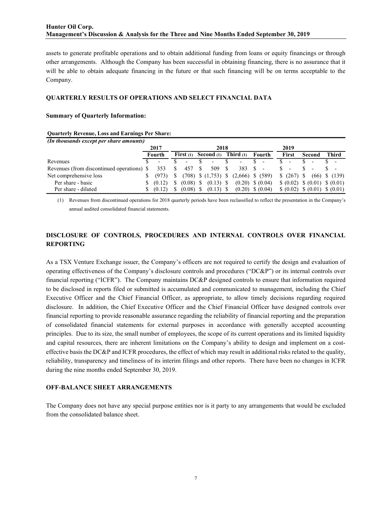assets to generate profitable operations and to obtain additional funding from loans or equity financings or through other arrangements. Although the Company has been successful in obtaining financing, there is no assurance that it will be able to obtain adequate financing in the future or that such financing will be on terms acceptable to the Company.

#### QUARTERLY RESULTS OF OPERATIONS AND SELECT FINANCIAL DATA

#### Summary of Quarterly Information:

#### Quarterly Revenue, Loss and Earnings Per Share:

| (In thousands except per share amounts)    |                    |                          |                          |                                              |                      |                                  |        |  |                   |
|--------------------------------------------|--------------------|--------------------------|--------------------------|----------------------------------------------|----------------------|----------------------------------|--------|--|-------------------|
|                                            | 2017               |                          | 2018                     |                                              |                      | 2019                             |        |  |                   |
|                                            | Fourth             |                          | First $(1)$ Second $(1)$ | Third $(1)$                                  | Fourth               | First                            | Second |  | Third             |
| Revenues                                   |                    | $\overline{\phantom{a}}$ |                          | $\overline{\phantom{0}}$                     |                      |                                  |        |  |                   |
| Revenues (from discontinued operations) \$ | 353                | 457                      | 509                      | 383                                          |                      |                                  |        |  |                   |
| Net comprehensive loss                     | (973)              |                          |                          | $(708)$ \$ $(1,753)$ \$ $(2,666)$ \$ $(589)$ |                      | \$ (267) \$                      |        |  | $(66)$ \$ $(139)$ |
| Per share - basic                          | $\frac{(0.12)}{2}$ |                          | $(0.08)$ \$ $(0.13)$ \$  |                                              | $(0.20)$ \$ $(0.04)$ | $(0.02)$ \$ $(0.01)$ \$ $(0.01)$ |        |  |                   |
| Per share - diluted                        | (0.12)             | (0.08)                   | $(0.13)$ \$              |                                              | $(0.20)$ \$ $(0.04)$ | $(0.02)$ $(0.01)$ $(0.01)$       |        |  |                   |

(1) Revenues from discontinued operations for 2018 quarterly periods have been reclassified to reflect the presentation in the Company's annual audited consolidated financial statements.

## DISCLOSURE OF CONTROLS, PROCEDURES AND INTERNAL CONTROLS OVER FINANCIAL REPORTING

As a TSX Venture Exchange issuer, the Company's officers are not required to certify the design and evaluation of operating effectiveness of the Company's disclosure controls and procedures ("DC&P") or its internal controls over financial reporting ("ICFR"). The Company maintains DC&P designed controls to ensure that information required to be disclosed in reports filed or submitted is accumulated and communicated to management, including the Chief Executive Officer and the Chief Financial Officer, as appropriate, to allow timely decisions regarding required disclosure. In addition, the Chief Executive Officer and the Chief Financial Officer have designed controls over financial reporting to provide reasonable assurance regarding the reliability of financial reporting and the preparation of consolidated financial statements for external purposes in accordance with generally accepted accounting principles. Due to its size, the small number of employees, the scope of its current operations and its limited liquidity and capital resources, there are inherent limitations on the Company's ability to design and implement on a costeffective basis the DC&P and ICFR procedures, the effect of which may result in additional risks related to the quality, reliability, transparency and timeliness of its interim filings and other reports. There have been no changes in ICFR during the nine months ended September 30, 2019.

#### OFF-BALANCE SHEET ARRANGEMENTS

The Company does not have any special purpose entities nor is it party to any arrangements that would be excluded from the consolidated balance sheet.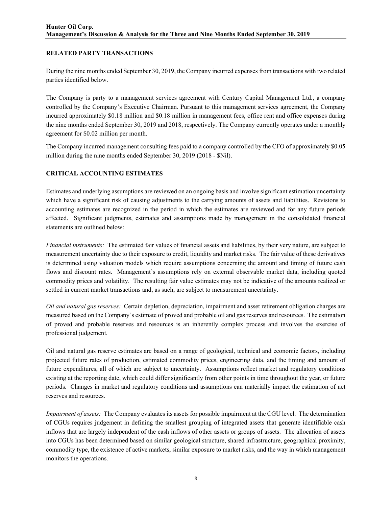## RELATED PARTY TRANSACTIONS

During the nine months ended September 30, 2019, the Company incurred expenses from transactions with two related parties identified below.

The Company is party to a management services agreement with Century Capital Management Ltd., a company controlled by the Company's Executive Chairman. Pursuant to this management services agreement, the Company incurred approximately \$0.18 million and \$0.18 million in management fees, office rent and office expenses during the nine months ended September 30, 2019 and 2018, respectively. The Company currently operates under a monthly agreement for \$0.02 million per month.

The Company incurred management consulting fees paid to a company controlled by the CFO of approximately \$0.05 million during the nine months ended September 30, 2019 (2018 - \$Nil).

## CRITICAL ACCOUNTING ESTIMATES

Estimates and underlying assumptions are reviewed on an ongoing basis and involve significant estimation uncertainty which have a significant risk of causing adjustments to the carrying amounts of assets and liabilities. Revisions to accounting estimates are recognized in the period in which the estimates are reviewed and for any future periods affected. Significant judgments, estimates and assumptions made by management in the consolidated financial statements are outlined below:

Financial instruments: The estimated fair values of financial assets and liabilities, by their very nature, are subject to measurement uncertainty due to their exposure to credit, liquidity and market risks. The fair value of these derivatives is determined using valuation models which require assumptions concerning the amount and timing of future cash flows and discount rates. Management's assumptions rely on external observable market data, including quoted commodity prices and volatility. The resulting fair value estimates may not be indicative of the amounts realized or settled in current market transactions and, as such, are subject to measurement uncertainty.

Oil and natural gas reserves: Certain depletion, depreciation, impairment and asset retirement obligation charges are measured based on the Company's estimate of proved and probable oil and gas reserves and resources. The estimation of proved and probable reserves and resources is an inherently complex process and involves the exercise of professional judgement.

Oil and natural gas reserve estimates are based on a range of geological, technical and economic factors, including projected future rates of production, estimated commodity prices, engineering data, and the timing and amount of future expenditures, all of which are subject to uncertainty. Assumptions reflect market and regulatory conditions existing at the reporting date, which could differ significantly from other points in time throughout the year, or future periods. Changes in market and regulatory conditions and assumptions can materially impact the estimation of net reserves and resources.

Impairment of assets: The Company evaluates its assets for possible impairment at the CGU level. The determination of CGUs requires judgement in defining the smallest grouping of integrated assets that generate identifiable cash inflows that are largely independent of the cash inflows of other assets or groups of assets. The allocation of assets into CGUs has been determined based on similar geological structure, shared infrastructure, geographical proximity, commodity type, the existence of active markets, similar exposure to market risks, and the way in which management monitors the operations.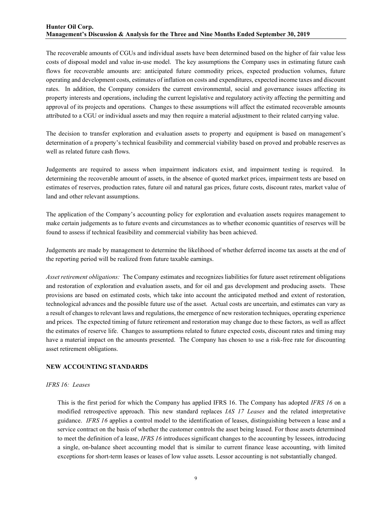## Hunter Oil Corp. Management's Discussion & Analysis for the Three and Nine Months Ended September 30, 2019

The recoverable amounts of CGUs and individual assets have been determined based on the higher of fair value less costs of disposal model and value in-use model. The key assumptions the Company uses in estimating future cash flows for recoverable amounts are: anticipated future commodity prices, expected production volumes, future operating and development costs, estimates of inflation on costs and expenditures, expected income taxes and discount rates. In addition, the Company considers the current environmental, social and governance issues affecting its property interests and operations, including the current legislative and regulatory activity affecting the permitting and approval of its projects and operations. Changes to these assumptions will affect the estimated recoverable amounts attributed to a CGU or individual assets and may then require a material adjustment to their related carrying value.

The decision to transfer exploration and evaluation assets to property and equipment is based on management's determination of a property's technical feasibility and commercial viability based on proved and probable reserves as well as related future cash flows.

Judgements are required to assess when impairment indicators exist, and impairment testing is required. In determining the recoverable amount of assets, in the absence of quoted market prices, impairment tests are based on estimates of reserves, production rates, future oil and natural gas prices, future costs, discount rates, market value of land and other relevant assumptions.

The application of the Company's accounting policy for exploration and evaluation assets requires management to make certain judgements as to future events and circumstances as to whether economic quantities of reserves will be found to assess if technical feasibility and commercial viability has been achieved.

Judgements are made by management to determine the likelihood of whether deferred income tax assets at the end of the reporting period will be realized from future taxable earnings.

Asset retirement obligations: The Company estimates and recognizes liabilities for future asset retirement obligations and restoration of exploration and evaluation assets, and for oil and gas development and producing assets. These provisions are based on estimated costs, which take into account the anticipated method and extent of restoration, technological advances and the possible future use of the asset. Actual costs are uncertain, and estimates can vary as a result of changes to relevant laws and regulations, the emergence of new restoration techniques, operating experience and prices. The expected timing of future retirement and restoration may change due to these factors, as well as affect the estimates of reserve life. Changes to assumptions related to future expected costs, discount rates and timing may have a material impact on the amounts presented. The Company has chosen to use a risk-free rate for discounting asset retirement obligations.

#### NEW ACCOUNTING STANDARDS

#### IFRS 16: Leases

This is the first period for which the Company has applied IFRS 16. The Company has adopted IFRS 16 on a modified retrospective approach. This new standard replaces IAS 17 Leases and the related interpretative guidance. IFRS 16 applies a control model to the identification of leases, distinguishing between a lease and a service contract on the basis of whether the customer controls the asset being leased. For those assets determined to meet the definition of a lease, IFRS 16 introduces significant changes to the accounting by lessees, introducing a single, on-balance sheet accounting model that is similar to current finance lease accounting, with limited exceptions for short-term leases or leases of low value assets. Lessor accounting is not substantially changed.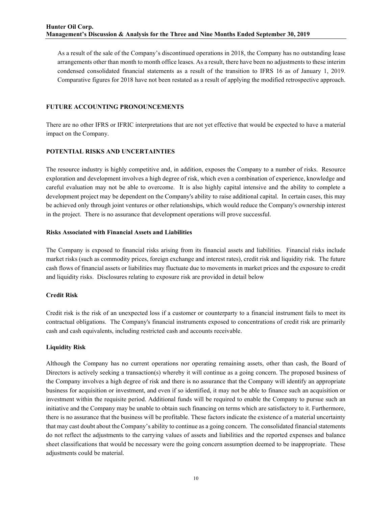As a result of the sale of the Company's discontinued operations in 2018, the Company has no outstanding lease arrangements other than month to month office leases. As a result, there have been no adjustments to these interim condensed consolidated financial statements as a result of the transition to IFRS 16 as of January 1, 2019. Comparative figures for 2018 have not been restated as a result of applying the modified retrospective approach.

## FUTURE ACCOUNTING PRONOUNCEMENTS

There are no other IFRS or IFRIC interpretations that are not yet effective that would be expected to have a material impact on the Company.

## POTENTIAL RISKS AND UNCERTAINTIES

The resource industry is highly competitive and, in addition, exposes the Company to a number of risks. Resource exploration and development involves a high degree of risk, which even a combination of experience, knowledge and careful evaluation may not be able to overcome. It is also highly capital intensive and the ability to complete a development project may be dependent on the Company's ability to raise additional capital. In certain cases, this may be achieved only through joint ventures or other relationships, which would reduce the Company's ownership interest in the project. There is no assurance that development operations will prove successful.

#### Risks Associated with Financial Assets and Liabilities

The Company is exposed to financial risks arising from its financial assets and liabilities. Financial risks include market risks (such as commodity prices, foreign exchange and interest rates), credit risk and liquidity risk. The future cash flows of financial assets or liabilities may fluctuate due to movements in market prices and the exposure to credit and liquidity risks. Disclosures relating to exposure risk are provided in detail below

## Credit Risk

Credit risk is the risk of an unexpected loss if a customer or counterparty to a financial instrument fails to meet its contractual obligations. The Company's financial instruments exposed to concentrations of credit risk are primarily cash and cash equivalents, including restricted cash and accounts receivable.

#### Liquidity Risk

Although the Company has no current operations nor operating remaining assets, other than cash, the Board of Directors is actively seeking a transaction(s) whereby it will continue as a going concern. The proposed business of the Company involves a high degree of risk and there is no assurance that the Company will identify an appropriate business for acquisition or investment, and even if so identified, it may not be able to finance such an acquisition or investment within the requisite period. Additional funds will be required to enable the Company to pursue such an initiative and the Company may be unable to obtain such financing on terms which are satisfactory to it. Furthermore, there is no assurance that the business will be profitable. These factors indicate the existence of a material uncertainty that may cast doubt about the Company's ability to continue as a going concern. The consolidated financial statements do not reflect the adjustments to the carrying values of assets and liabilities and the reported expenses and balance sheet classifications that would be necessary were the going concern assumption deemed to be inappropriate. These adjustments could be material.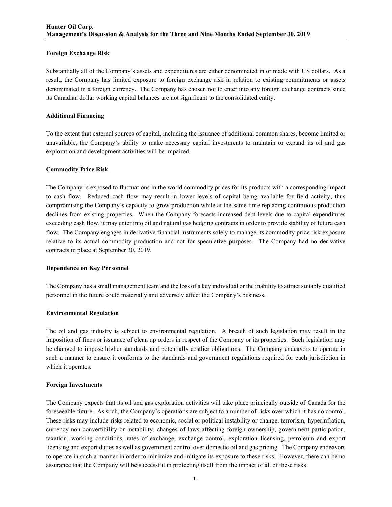## Foreign Exchange Risk

Substantially all of the Company's assets and expenditures are either denominated in or made with US dollars. As a result, the Company has limited exposure to foreign exchange risk in relation to existing commitments or assets denominated in a foreign currency. The Company has chosen not to enter into any foreign exchange contracts since its Canadian dollar working capital balances are not significant to the consolidated entity.

## Additional Financing

To the extent that external sources of capital, including the issuance of additional common shares, become limited or unavailable, the Company's ability to make necessary capital investments to maintain or expand its oil and gas exploration and development activities will be impaired.

## Commodity Price Risk

The Company is exposed to fluctuations in the world commodity prices for its products with a corresponding impact to cash flow. Reduced cash flow may result in lower levels of capital being available for field activity, thus compromising the Company's capacity to grow production while at the same time replacing continuous production declines from existing properties. When the Company forecasts increased debt levels due to capital expenditures exceeding cash flow, it may enter into oil and natural gas hedging contracts in order to provide stability of future cash flow. The Company engages in derivative financial instruments solely to manage its commodity price risk exposure relative to its actual commodity production and not for speculative purposes. The Company had no derivative contracts in place at September 30, 2019.

#### Dependence on Key Personnel

The Company has a small management team and the loss of a key individual or the inability to attract suitably qualified personnel in the future could materially and adversely affect the Company's business.

#### Environmental Regulation

The oil and gas industry is subject to environmental regulation. A breach of such legislation may result in the imposition of fines or issuance of clean up orders in respect of the Company or its properties. Such legislation may be changed to impose higher standards and potentially costlier obligations. The Company endeavors to operate in such a manner to ensure it conforms to the standards and government regulations required for each jurisdiction in which it operates.

#### Foreign Investments

The Company expects that its oil and gas exploration activities will take place principally outside of Canada for the foreseeable future. As such, the Company's operations are subject to a number of risks over which it has no control. These risks may include risks related to economic, social or political instability or change, terrorism, hyperinflation, currency non-convertibility or instability, changes of laws affecting foreign ownership, government participation, taxation, working conditions, rates of exchange, exchange control, exploration licensing, petroleum and export licensing and export duties as well as government control over domestic oil and gas pricing. The Company endeavors to operate in such a manner in order to minimize and mitigate its exposure to these risks. However, there can be no assurance that the Company will be successful in protecting itself from the impact of all of these risks.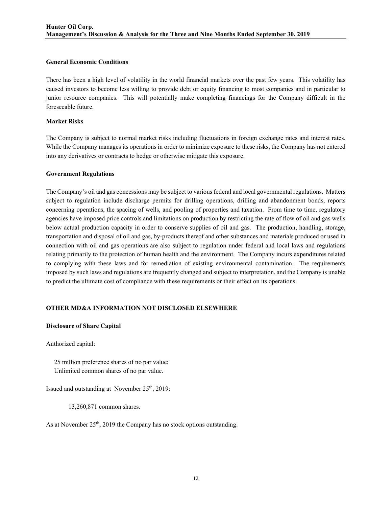#### General Economic Conditions

There has been a high level of volatility in the world financial markets over the past few years. This volatility has caused investors to become less willing to provide debt or equity financing to most companies and in particular to junior resource companies. This will potentially make completing financings for the Company difficult in the foreseeable future.

#### Market Risks

The Company is subject to normal market risks including fluctuations in foreign exchange rates and interest rates. While the Company manages its operations in order to minimize exposure to these risks, the Company has not entered into any derivatives or contracts to hedge or otherwise mitigate this exposure.

#### Government Regulations

The Company's oil and gas concessions may be subject to various federal and local governmental regulations. Matters subject to regulation include discharge permits for drilling operations, drilling and abandonment bonds, reports concerning operations, the spacing of wells, and pooling of properties and taxation. From time to time, regulatory agencies have imposed price controls and limitations on production by restricting the rate of flow of oil and gas wells below actual production capacity in order to conserve supplies of oil and gas. The production, handling, storage, transportation and disposal of oil and gas, by-products thereof and other substances and materials produced or used in connection with oil and gas operations are also subject to regulation under federal and local laws and regulations relating primarily to the protection of human health and the environment. The Company incurs expenditures related to complying with these laws and for remediation of existing environmental contamination. The requirements imposed by such laws and regulations are frequently changed and subject to interpretation, and the Company is unable to predict the ultimate cost of compliance with these requirements or their effect on its operations.

#### OTHER MD&A INFORMATION NOT DISCLOSED ELSEWHERE

#### Disclosure of Share Capital

Authorized capital:

 25 million preference shares of no par value; Unlimited common shares of no par value.

Issued and outstanding at November 25<sup>th</sup>, 2019:

13,260,871 common shares.

As at November  $25<sup>th</sup>$ , 2019 the Company has no stock options outstanding.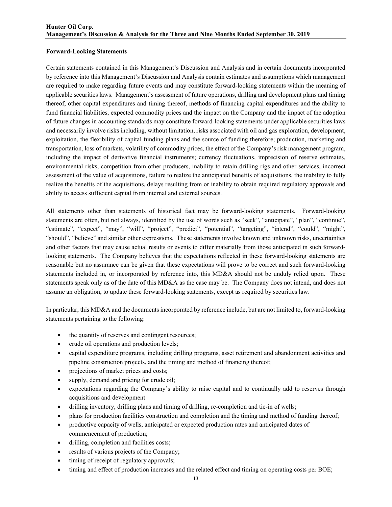#### Forward-Looking Statements

Certain statements contained in this Management's Discussion and Analysis and in certain documents incorporated by reference into this Management's Discussion and Analysis contain estimates and assumptions which management are required to make regarding future events and may constitute forward-looking statements within the meaning of applicable securities laws. Management's assessment of future operations, drilling and development plans and timing thereof, other capital expenditures and timing thereof, methods of financing capital expenditures and the ability to fund financial liabilities, expected commodity prices and the impact on the Company and the impact of the adoption of future changes in accounting standards may constitute forward-looking statements under applicable securities laws and necessarily involve risks including, without limitation, risks associated with oil and gas exploration, development, exploitation, the flexibility of capital funding plans and the source of funding therefore; production, marketing and transportation, loss of markets, volatility of commodity prices, the effect of the Company's risk management program, including the impact of derivative financial instruments; currency fluctuations, imprecision of reserve estimates, environmental risks, competition from other producers, inability to retain drilling rigs and other services, incorrect assessment of the value of acquisitions, failure to realize the anticipated benefits of acquisitions, the inability to fully realize the benefits of the acquisitions, delays resulting from or inability to obtain required regulatory approvals and ability to access sufficient capital from internal and external sources.

All statements other than statements of historical fact may be forward-looking statements. Forward-looking statements are often, but not always, identified by the use of words such as "seek", "anticipate", "plan", "continue", "estimate", "expect", "may", "will", "project", "predict", "potential", "targeting", "intend", "could", "might", "should", "believe" and similar other expressions. These statements involve known and unknown risks, uncertainties and other factors that may cause actual results or events to differ materially from those anticipated in such forwardlooking statements. The Company believes that the expectations reflected in these forward-looking statements are reasonable but no assurance can be given that these expectations will prove to be correct and such forward-looking statements included in, or incorporated by reference into, this MD&A should not be unduly relied upon. These statements speak only as of the date of this MD&A as the case may be. The Company does not intend, and does not assume an obligation, to update these forward-looking statements, except as required by securities law.

In particular, this MD&A and the documents incorporated by reference include, but are not limited to, forward-looking statements pertaining to the following:

- the quantity of reserves and contingent resources;
- crude oil operations and production levels;
- capital expenditure programs, including drilling programs, asset retirement and abandonment activities and pipeline construction projects, and the timing and method of financing thereof;
- projections of market prices and costs;
- supply, demand and pricing for crude oil;
- expectations regarding the Company's ability to raise capital and to continually add to reserves through acquisitions and development
- drilling inventory, drilling plans and timing of drilling, re-completion and tie-in of wells;
- plans for production facilities construction and completion and the timing and method of funding thereof;
- productive capacity of wells, anticipated or expected production rates and anticipated dates of commencement of production;
- drilling, completion and facilities costs;
- results of various projects of the Company;
- timing of receipt of regulatory approvals;
- timing and effect of production increases and the related effect and timing on operating costs per BOE;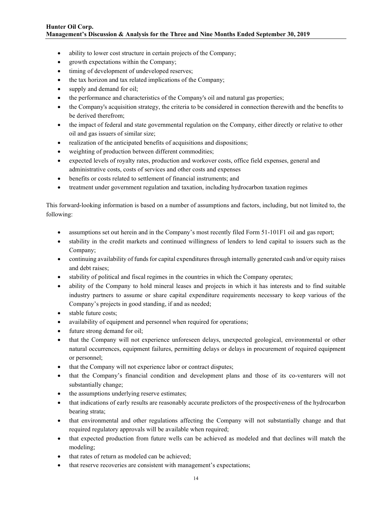- ability to lower cost structure in certain projects of the Company;
- growth expectations within the Company;
- timing of development of undeveloped reserves;
- the tax horizon and tax related implications of the Company;
- supply and demand for oil;
- the performance and characteristics of the Company's oil and natural gas properties;
- the Company's acquisition strategy, the criteria to be considered in connection therewith and the benefits to be derived therefrom;
- the impact of federal and state governmental regulation on the Company, either directly or relative to other oil and gas issuers of similar size;
- realization of the anticipated benefits of acquisitions and dispositions;
- weighting of production between different commodities;
- expected levels of royalty rates, production and workover costs, office field expenses, general and administrative costs, costs of services and other costs and expenses
- benefits or costs related to settlement of financial instruments; and
- treatment under government regulation and taxation, including hydrocarbon taxation regimes

This forward-looking information is based on a number of assumptions and factors, including, but not limited to, the following:

- assumptions set out herein and in the Company's most recently filed Form 51-101F1 oil and gas report;
- stability in the credit markets and continued willingness of lenders to lend capital to issuers such as the Company;
- continuing availability of funds for capital expenditures through internally generated cash and/or equity raises and debt raises;
- stability of political and fiscal regimes in the countries in which the Company operates;
- ability of the Company to hold mineral leases and projects in which it has interests and to find suitable industry partners to assume or share capital expenditure requirements necessary to keep various of the Company's projects in good standing, if and as needed;
- stable future costs;
- availability of equipment and personnel when required for operations;
- future strong demand for oil;
- that the Company will not experience unforeseen delays, unexpected geological, environmental or other natural occurrences, equipment failures, permitting delays or delays in procurement of required equipment or personnel;
- that the Company will not experience labor or contract disputes;
- that the Company's financial condition and development plans and those of its co-venturers will not substantially change;
- the assumptions underlying reserve estimates;
- that indications of early results are reasonably accurate predictors of the prospectiveness of the hydrocarbon bearing strata;
- that environmental and other regulations affecting the Company will not substantially change and that required regulatory approvals will be available when required;
- that expected production from future wells can be achieved as modeled and that declines will match the modeling;
- that rates of return as modeled can be achieved;
- that reserve recoveries are consistent with management's expectations;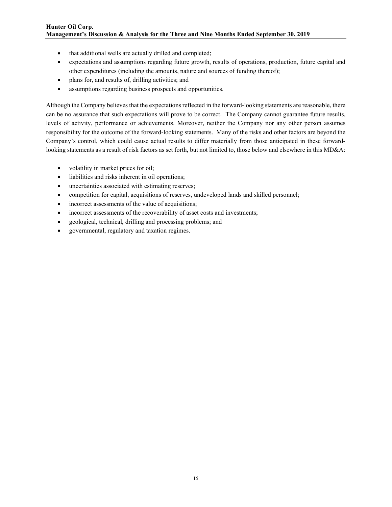- that additional wells are actually drilled and completed;
- expectations and assumptions regarding future growth, results of operations, production, future capital and other expenditures (including the amounts, nature and sources of funding thereof);
- plans for, and results of, drilling activities; and
- assumptions regarding business prospects and opportunities.

Although the Company believes that the expectations reflected in the forward-looking statements are reasonable, there can be no assurance that such expectations will prove to be correct. The Company cannot guarantee future results, levels of activity, performance or achievements. Moreover, neither the Company nor any other person assumes responsibility for the outcome of the forward-looking statements. Many of the risks and other factors are beyond the Company's control, which could cause actual results to differ materially from those anticipated in these forwardlooking statements as a result of risk factors as set forth, but not limited to, those below and elsewhere in this MD&A:

- volatility in market prices for oil;
- liabilities and risks inherent in oil operations;
- uncertainties associated with estimating reserves;
- competition for capital, acquisitions of reserves, undeveloped lands and skilled personnel;
- incorrect assessments of the value of acquisitions;
- incorrect assessments of the recoverability of asset costs and investments;
- geological, technical, drilling and processing problems; and
- governmental, regulatory and taxation regimes.